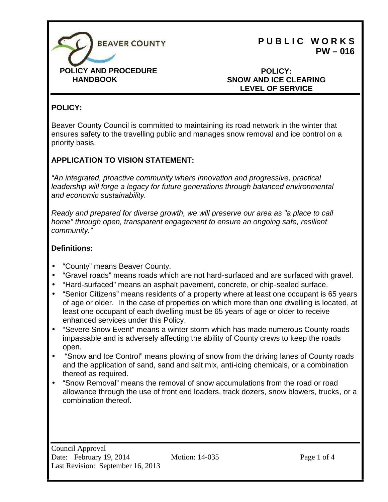

**HANDBOOK**

**P U B L I C W O R K S PW – 016**

### **POLICY: SNOW AND ICE CLEARING LEVEL OF SERVICE**

## **POLICY:**

Beaver County Council is committed to maintaining its road network in the winter that ensures safety to the travelling public and manages snow removal and ice control on a priority basis.

### **APPLICATION TO VISION STATEMENT:**

*"An integrated, proactive community where innovation and progressive, practical leadership will forge a legacy for future generations through balanced environmental and economic sustainability.*

*Ready and prepared for diverse growth, we will preserve our area as "a place to call home" through open, transparent engagement to ensure an ongoing safe, resilient community."*

#### **Definitions:**

- "County" means Beaver County.
- "Gravel roads" means roads which are not hard-surfaced and are surfaced with gravel.
- "Hard-surfaced" means an asphalt pavement, concrete, or chip-sealed surface.
- "Senior Citizens" means residents of a property where at least one occupant is 65 years of age or older. In the case of properties on which more than one dwelling is located, at least one occupant of each dwelling must be 65 years of age or older to receive enhanced services under this Policy.
- "Severe Snow Event" means a winter storm which has made numerous County roads impassable and is adversely affecting the ability of County crews to keep the roads open.
- "Snow and Ice Control" means plowing of snow from the driving lanes of County roads and the application of sand, sand and salt mix, anti-icing chemicals, or a combination thereof as required.
- "Snow Removal" means the removal of snow accumulations from the road or road allowance through the use of front end loaders, track dozers, snow blowers, trucks, or a combination thereof.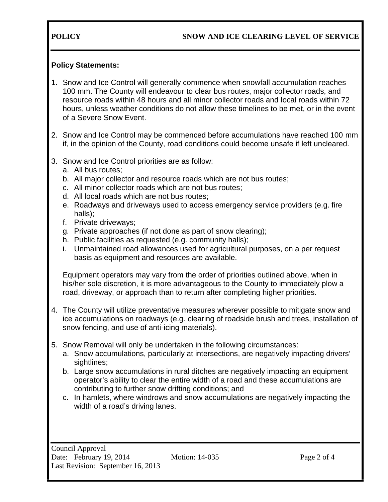### **POLICY SNOW AND ICE CLEARING LEVEL OF SERVICE**

#### **Policy Statements:**

- 1. Snow and Ice Control will generally commence when snowfall accumulation reaches 100 mm. The County will endeavour to clear bus routes, major collector roads, and resource roads within 48 hours and all minor collector roads and local roads within 72 hours, unless weather conditions do not allow these timelines to be met, or in the event of a Severe Snow Event.
- 2. Snow and Ice Control may be commenced before accumulations have reached 100 mm if, in the opinion of the County, road conditions could become unsafe if left uncleared.
- 3. Snow and Ice Control priorities are as follow:
	- a. All bus routes;
	- b. All major collector and resource roads which are not bus routes;
	- c. All minor collector roads which are not bus routes;
	- d. All local roads which are not bus routes;
	- e. Roadways and driveways used to access emergency service providers (e.g. fire halls);
	- f. Private driveways;
	- g. Private approaches (if not done as part of snow clearing);
	- h. Public facilities as requested (e.g. community halls);
	- i. Unmaintained road allowances used for agricultural purposes, on a per request basis as equipment and resources are available.

Equipment operators may vary from the order of priorities outlined above, when in his/her sole discretion, it is more advantageous to the County to immediately plow a road, driveway, or approach than to return after completing higher priorities.

- 4. The County will utilize preventative measures wherever possible to mitigate snow and ice accumulations on roadways (e.g. clearing of roadside brush and trees, installation of snow fencing, and use of anti-icing materials).
- 5. Snow Removal will only be undertaken in the following circumstances:
	- a. Snow accumulations, particularly at intersections, are negatively impacting drivers' sightlines;
	- b. Large snow accumulations in rural ditches are negatively impacting an equipment operator's ability to clear the entire width of a road and these accumulations are contributing to further snow drifting conditions; and
	- c. In hamlets, where windrows and snow accumulations are negatively impacting the width of a road's driving lanes.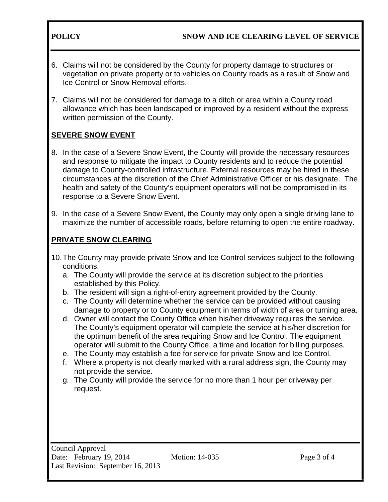**POLICY SNOW AND ICE CLEARING LEVEL OF SERVICE**

- 6. Claims will not be considered by the County for property damage to structures or vegetation on private property or to vehicles on County roads as a result of Snow and Ice Control or Snow Removal efforts.
- 7. Claims will not be considered for damage to a ditch or area within a County road allowance which has been landscaped or improved by a resident without the express written permission of the County.

# **SEVERE SNOW EVENT**

- 8. In the case of a Severe Snow Event, the County will provide the necessary resources and response to mitigate the impact to County residents and to reduce the potential damage to County-controlled infrastructure. External resources may be hired in these circumstances at the discretion of the Chief Administrative Officer or his designate. The health and safety of the County's equipment operators will not be compromised in its response to a Severe Snow Event.
- 9. In the case of a Severe Snow Event, the County may only open a single driving lane to maximize the number of accessible roads, before returning to open the entire roadway.

# **PRIVATE SNOW CLEARING**

- 10.The County may provide private Snow and Ice Control services subject to the following conditions:
	- a. The County will provide the service at its discretion subject to the priorities established by this Policy.
	- b. The resident will sign a right-of-entry agreement provided by the County.
	- c. The County will determine whether the service can be provided without causing damage to property or to County equipment in terms of width of area or turning area.
	- d. Owner will contact the County Office when his/her driveway requires the service. The County's equipment operator will complete the service at his/her discretion for the optimum benefit of the area requiring Snow and Ice Control. The equipment operator will submit to the County Office, a time and location for billing purposes.
	- e. The County may establish a fee for service for private Snow and Ice Control.
	- f. Where a property is not clearly marked with a rural address sign, the County may not provide the service.
	- g. The County will provide the service for no more than 1 hour per driveway per request.